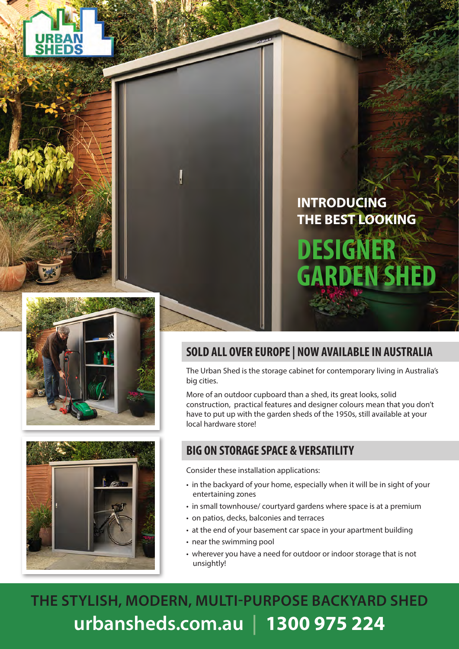





## **SOLD ALL OVER EUROPE | NOW AVAILABLE IN AUSTRALIA**

The Urban Shed is the storage cabinet for contemporary living in Australia's big cities.

More of an outdoor cupboard than a shed, its great looks, solid construction, practical features and designer colours mean that you don't have to put up with the garden sheds of the 1950s, still available at your local hardware store!

### **BIG ON STORAGE SPACE & VERSATILITY**

Consider these installation applications:

- in the backyard of your home, especially when it will be in sight of your entertaining zones
- in small townhouse/ courtyard gardens where space is at a premium
- on patios, decks, balconies and terraces
- at the end of your basement car space in your apartment building
- near the swimming pool
- wherever you have a need for outdoor or indoor storage that is not unsightly!

**THE STYLISH, MODERN, MULTI-PURPOSE BACKYARD SHED urbansheds.com.au | 1300 975 224**